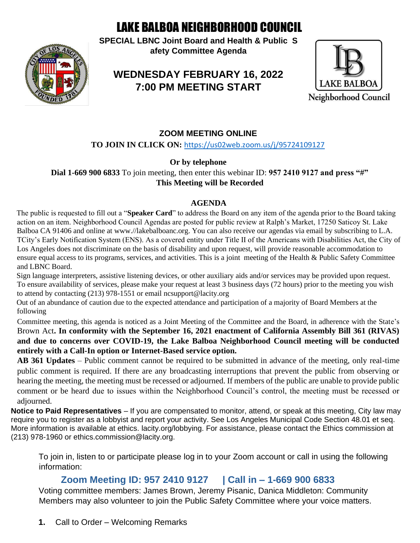# LAKE BALBOA NEIGHBORHOOD COUNCIL

**SPECIAL LBNC Joint Board and Health & Public S afety Committee Agenda** 

## **WEDNESDAY FEBRUARY 16, 2022 7:00 PM MEETING START**



#### **ZOOM MEETING ONLINE**

**TO JOIN IN CLICK ON:** https://us02web.zoom.us/j/95724109127

**Or by telephone** 

**Dial 1-669 900 6833** To join meeting, then enter this webinar ID: **957 2410 9127 and press "#" This Meeting will be Recorded** 

#### **AGENDA**

The public is requested to fill out a "**Speaker Card**" to address the Board on any item of the agenda prior to the Board taking action on an item. Neighborhood Council Agendas are posted for public review at Ralph's Market, 17250 Saticoy St. Lake Balboa CA 91406 and online at www.//lakebalboanc.org. You can also receive our agendas via email by subscribing to L.A. TCity's Early Notification System (ENS). As a covered entity under Title II of the Americans with Disabilities Act, the City of Los Angeles does not discriminate on the basis of disability and upon request, will provide reasonable accommodation to ensure equal access to its programs, services, and activities. This is a joint meeting of the Health & Public Safety Committee and LBNC Board.

Sign language interpreters, assistive listening devices, or other auxiliary aids and/or services may be provided upon request. To ensure availability of services, please make your request at least 3 business days (72 hours) prior to the meeting you wish to attend by contacting (213) 978-1551 or email ncsupport@lacity.org

Out of an abundance of caution due to the expected attendance and participation of a majority of Board Members at the following

Committee meeting, this agenda is noticed as a Joint Meeting of the Committee and the Board, in adherence with the State's Brown Act**. In conformity with the September 16, 2021 enactment of California Assembly Bill 361 (RIVAS) and due to concerns over COVID-19, the Lake Balboa Neighborhood Council meeting will be conducted entirely with a Call-In option or Internet-Based service option.**

**AB 361 Updates** – Public comment cannot be required to be submitted in advance of the meeting, only real-time public comment is required. If there are any broadcasting interruptions that prevent the public from observing or hearing the meeting, the meeting must be recessed or adjourned. If members of the public are unable to provide public comment or be heard due to issues within the Neighborhood Council's control, the meeting must be recessed or adjourned.

**Notice to Paid Representatives** – If you are compensated to monitor, attend, or speak at this meeting, City law may require you to register as a lobbyist and report your activity. See Los Angeles Municipal Code Section 48.01 et seq. More information is available at ethics. lacity.org/lobbying. For assistance, please contact the Ethics commission at (213) 978-1960 or ethics.commission@lacity.org.

To join in, listen to or participate please log in to your Zoom account or call in using the following information:

### **Zoom Meeting ID: 957 2410 9127 | Call in – 1-669 900 6833**

Voting committee members: James Brown, Jeremy Pisanic, Danica Middleton: Community Members may also volunteer to join the Public Safety Committee where your voice matters.

**1.** Call to Order – Welcoming Remarks